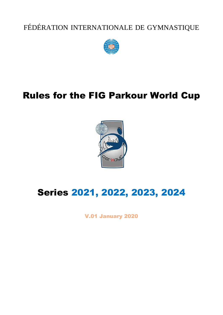FÉDÉRATION INTERNATIONALE DE GYMNASTIQUE



# Rules for the FIG Parkour World Cup



# Series 2021, 2022, 2023, 2024

V.01 January 2020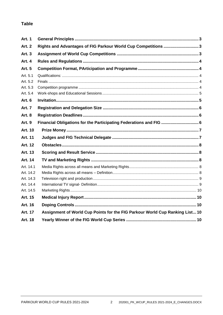# **Table**

| <b>Art. 1</b>  |                                                                              |  |
|----------------|------------------------------------------------------------------------------|--|
| <b>Art. 2</b>  | Rights and Advantages of FIG Parkour World Cup Competitions 3                |  |
| <b>Art. 3</b>  |                                                                              |  |
| Art. 4         |                                                                              |  |
| <b>Art. 5</b>  |                                                                              |  |
| Art. 5.1       |                                                                              |  |
| Art. 5.2       |                                                                              |  |
| Art. 5.3       |                                                                              |  |
| Art. 5.4       |                                                                              |  |
| <b>Art. 6</b>  |                                                                              |  |
| <b>Art. 7</b>  |                                                                              |  |
| <b>Art. 8</b>  |                                                                              |  |
| <b>Art. 9</b>  | Financial Obligations for the Participating Federations and FIG  6           |  |
| <b>Art. 10</b> |                                                                              |  |
| Art. 11        |                                                                              |  |
| Art. 12        |                                                                              |  |
| Art. 13        |                                                                              |  |
| Art. 14        |                                                                              |  |
| Art. 14.1      |                                                                              |  |
| Art. 14.2      |                                                                              |  |
| Art. 14.3      |                                                                              |  |
| Art. 14.4      |                                                                              |  |
| Art. 14.5      |                                                                              |  |
| Art. 15        |                                                                              |  |
| Art. 16        |                                                                              |  |
| <b>Art. 17</b> | Assignment of World Cup Points for the FIG Parkour World Cup Ranking List 10 |  |
| <b>Art. 18</b> |                                                                              |  |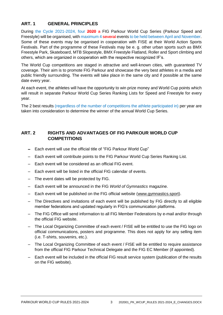# <span id="page-2-0"></span>**ART. 1 GENERAL PRINCIPLES**

During the Cycle 2021-2024, four **2020** a FIG Parkour World Cup Series (Parkour Speed and Freestyle) will be organised, with maximum 4 several events to be held between April and November. Some of these events may be organised in cooperation with FISE at their World Action Sports Festivals. Part of the programme of these Festivals may be e. g. other urban sports such as BMX Freestyle Park, Skateboard, MTB Slopestyle, BMX Freestyle Flatland, Roller and Sport climbing and others, which are organized in cooperation with the respective recognized IF's.

The World Cup competitions are staged in attractive and well-known cities, with guaranteed TV coverage. Their aim is to promote FIG Parkour and showcase the very best athletes in a media and public friendly surrounding. The events will take place in the same city and if possible at the same date every year.

At each event, the athletes will have the opportunity to win prize money and World Cup points which will result in separate Parkour World Cup Series Ranking Lists for Speed and Freestyle for every year.

The 2 best results (regardless of the number of competitions the athlete participated in) per year are taken into consideration to determine the winner of the annual World Cup Series.

## <span id="page-2-1"></span>**ART. 2 RIGHTS AND ADVANTAGES OF FIG PARKOUR WORLD CUP COMPETITIONS**

- Each event will use the official title of "FIG Parkour World Cup"
- Each event will contribute points to the FIG Parkour World Cup Series Ranking List.
- Each event will be considered as an official FIG event.
- Each event will be listed in the official FIG calendar of events.
- The event dates will be protected by FIG.
- Each event will be announced in the FIG *World of Gymnastics* magazine.
- Each event will be published on the FIG official website [\(www.gymnastics.sport\)](http://www.gymnastics.sport/).
- The Directives and invitations of each event will be published by FIG directly to all eligible member federations and updated regularly in FIG's communication platforms.
- The FIG Office will send information to all FIG Member Federations by e-mail and/or through the official FIG website.
- The Local Organizing Committee of each event / FISE will be entitled to use the FIG logo on official communications, posters and programme. This does not apply for any selling item (i.e. T-shirts, souvenirs, etc.).
- The Local Organizing Committee of each event / FISE will be entitled to require assistance from the official FIG Parkour Technical Delegate and the FIG EC Member (if appointed).
- <span id="page-2-2"></span>– Each event will be included in the official FIG result service system (publication of the results on the FIG website).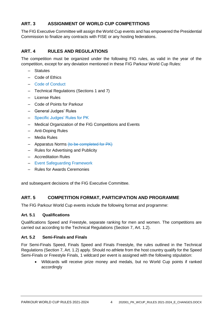# **ART. 3 ASSIGNMENT OF WORLD CUP COMPETITIONS**

The FIG Executive Committee will assign the World Cup events and has empowered the Presidential Commission to finalize any contracts with FISE or any hosting federations.

# <span id="page-3-0"></span>**ART. 4 RULES AND REGULATIONS**

The competition must be organized under the following FIG rules, as valid in the year of the competition, except for any deviation mentioned in these FIG Parkour World Cup Rules:

- Statutes
- Code of Ethics
- Code of Conduct
- Technical Regulations (Sections 1 and 7)
- License Rules
- Code of Points for Parkour
- General Judges' Rules
- Specific Judges' Rules for PK
- Medical Organization of the FIG Competitions and Events
- Anti-Doping Rules
- Media Rules
- Apparatus Norms (to be completed for PK)
- Rules for Advertising and Publicity
- Accreditation Rules
- Event Safeguarding Framework
- Rules for Awards Ceremonies

<span id="page-3-1"></span>and subsequent decisions of the FIG Executive Committee.

## **ART. 5 COMPETITION FORMAT, PARTICIPATION AND PROGRAMME**

The FIG Parkour World Cup events include the following format and programme:

#### <span id="page-3-2"></span>**Art. 5.1 Qualifications**

Qualifications Speed and Freestyle, separate ranking for men and women. The competitions are carried out according to the Technical Regulations (Section 7, Art. 1.2).

#### <span id="page-3-3"></span>**Art. 5.2 Semi-Finals and Finals**

For Semi-Finals Speed, Finals Speed and Finals Freestyle, the rules outlined in the Technical Regulations (Section 7, Art. 1.2) apply. Should no athlete from the host country qualify for the Speed Semi-Finals or Freestyle Finals, 1 wildcard per event is assigned with the following stipulation:

<span id="page-3-4"></span> Wildcards will receive prize money and medals, but no World Cup points if ranked accordingly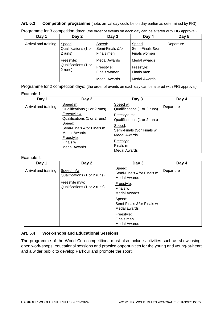**Art. 5.3 Competition programme** (note: arrival day could be on day earlier as determined by FIG)

| Day 1                | Day 2                                                   | Day 3                                                    | Day 4                                                      | Day 5     |
|----------------------|---------------------------------------------------------|----------------------------------------------------------|------------------------------------------------------------|-----------|
| Arrival and training | Speed:<br>Qualifications (1 or<br>2 runs)<br>Freestyle: | Speed:<br>Semi-Finals &/or<br>Finals men<br>Medal Awards | Speed:<br>Semi-Finals &/or<br>Finals women<br>Medal awards | Departure |
|                      | Qualifications (1 or<br>2 runs)                         | Freestyle:<br>Finals women<br><b>Medal Awards</b>        | Freestyle:<br>Finals men<br><b>Medal Awards</b>            |           |

Programme for 3 competition days: (the order of events on each day can be altered with FIG approval)

Programme for 2 competition days: (the order of events on each day can be altered with FIG approval) Example 1:

| Day 1                | Day 2                                                                                                                                                                                                   | Day 3                                                                                                                                                                                                   | Day 4     |
|----------------------|---------------------------------------------------------------------------------------------------------------------------------------------------------------------------------------------------------|---------------------------------------------------------------------------------------------------------------------------------------------------------------------------------------------------------|-----------|
| Arrival and training | Speed m:<br>Qualifications (1 or 2 runs)<br>Freestyle w:<br>Qualifications (1 or 2 runs)<br>Speed:<br>Semi-Finals &/or Finals m<br><b>Medal Awards</b><br>Freestyle:<br>Finals w<br><b>Medal Awards</b> | Speed w:<br>Qualifications (1 or 2 runs)<br>Freestyle m:<br>Qualifications (1 or 2 runs)<br>Speed:<br>Semi-Finals &/or Finals w<br><b>Medal Awards</b><br>Freestyle:<br>Finals m<br><b>Medal Awards</b> | Departure |

Example 2:

| Day 1                | Day 2                                                                                        | Day 3                                                                                                                                                                                                                 | Day 4     |
|----------------------|----------------------------------------------------------------------------------------------|-----------------------------------------------------------------------------------------------------------------------------------------------------------------------------------------------------------------------|-----------|
| Arrival and training | Speed m/w:<br>Qualifications (1 or 2 runs)<br>Freestyle m/w:<br>Qualifications (1 or 2 runs) | Speed:<br>Semi-Finals &/or Finals m<br><b>Medal Awards</b><br>Freestyle:<br>Finals w<br><b>Medal Awards</b><br>Speed:<br>Semi-Finals &/or Finals w<br>Medal awards<br>Freestyle:<br>Finals men<br><b>Medal Awards</b> | Departure |

#### <span id="page-4-0"></span>**Art. 5.4 Work-shops and Educational Sessions**

<span id="page-4-1"></span>The programme of the World Cup competitions must also include activities such as showcasing, open work-shops, educational sessions and practice opportunities for the young and young-at-heart and a wider public to develop Parkour and promote the sport.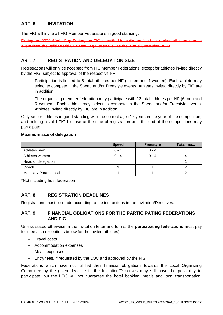## **ART. 6 INVITATION**

The FIG will invite all FIG Member Federations in good standing.

During the 2020 World Cup Series, the FIG is entitled to invite the five best ranked athletes in each event from the valid World Cup Ranking List as well as the World Champion 2020.

# <span id="page-5-0"></span>**ART. 7 REGISTRATION AND DELEGATION SIZE**

Registrations will only be accepted from FIG Member Federations; except for athletes invited directly by the FIG, subject to approval of the respective NF.

- Participation is limited to 8 total athletes per NF (4 men and 4 women). Each athlete may select to compete in the Speed and/or Freestyle events. Athletes invited directly by FIG are in addition.
- The organising member federation may participate with 12 total athletes per NF (6 men and 6 women). Each athlete may select to compete in the Speed and/or Freestyle events. Athletes invited directly by FIG are in addition.

Only senior athletes in good standing with the correct age (17 years in the year of the competition) and holding a valid FIG License at the time of registration until the end of the competitions may participate.

#### **Maximum size of delegation**

|                       | <b>Speed</b> | <b>Freestyle</b> | Total max. |
|-----------------------|--------------|------------------|------------|
| Athletes men          | $0 - 4$      | $0 - 4$          |            |
| Athletes women        | $0 - 4$      | $0 - 4$          |            |
| Head of delegation    |              |                  |            |
| Coach                 |              |                  |            |
| Medical / Paramedical |              |                  |            |

<span id="page-5-1"></span>\*Not including host federation

## **ART. 8 REGISTRATION DEADLINES**

Registrations must be made according to the instructions in the Invitation/Directives.

### <span id="page-5-2"></span>**ART. 9 FINANCIAL OBLIGATIONS FOR THE PARTICIPATING FEDERATIONS AND FIG**

Unless stated otherwise in the invitation letter and forms, the **participating federations** must pay for (see also exceptions below for the invited athletes):

- Travel costs
- Accommodation expenses
- Meals expenses
- Entry fees, if requested by the LOC and approved by the FIG.

Federations which have not fulfilled their financial obligations towards the Local Organizing Committee by the given deadline in the Invitation/Directives may still have the possibility to participate, but the LOC will not guarantee the hotel booking, meals and local transportation.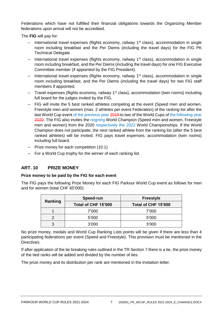Federations which have not fulfilled their financial obligations towards the Organizing Member federations upon arrival will not be accredited.

The **FIG** will pay for:

- $-$  International travel expenses (flights economy, railway 1<sup>st</sup> class), accommodation in single room including breakfast and the Per Diems (including the travel days) for the FIG PK Technical Delegate
- $-$  International travel expenses (flights economy, railway 1<sup>st</sup> class), accommodation in single room including breakfast, and the Per Diems (including the travel days) for one FIG Executive Committee member (if appointed by the FIG President).
- $-$  International travel expenses (flights economy, railway 1<sup>st</sup> class), accommodation in single room including breakfast, and the Per Diems (including the travel days) for two FIG staff members if appointed.
- $-$  Travel expenses (flights economy, railway 1<sup>st</sup> class), accommodation (twin rooms) including full board for the judges invited by the FIG.
- FIG will invite the 5 best ranked athletes competing at the event (Speed men and women, Freestyle men and women (max. 2 athletes per event Federation) of the ranking list after the last World Cup event of the previous year 2019 to two of the World Cups of the following year 2020. The FIG also invites the reigning World Champion (Speed men and women, Freestyle men and women) from the 2020 respectively the 2022 World Championships. If the World Champion does not participate, the next ranked athlete from the ranking list (after the 5 best ranked athletes) will be invited. FIG pays travel expenses, accommodation (twin rooms) including full board.
- Prize money for each competition (10.1)
- For a World Cup trophy for the winner of each ranking list.

## <span id="page-6-0"></span>**ART. 10 PRIZE MONEY**

### **Prize money to be paid by the FIG for each event**

The FIG pays the following Prize Money for each FIG Parkour World Cup event as follows for men and for women (total CHF 60'000):

|         | Speed-run           | <b>Freestyle</b>    |  |
|---------|---------------------|---------------------|--|
| Ranking | Total of CHF 15'000 | Total of CHF 15'000 |  |
|         | 7'000               | 7'000               |  |
|         | 5'000               | 5'000               |  |
| 3       | 3'000               | 3'000               |  |

No prize money, medals and World Cup Ranking Lists points will be given if there are less than 4 participating federations per event (Speed and Freestyle). This provision must be mentioned in the Directives.

If after application of the tie breaking rules outlined in the TR Section 7 there is a tie, the prize money of the tied ranks will be added and divided by the number of ties.

<span id="page-6-1"></span>The prize money and its distribution per rank are mentioned in the invitation letter.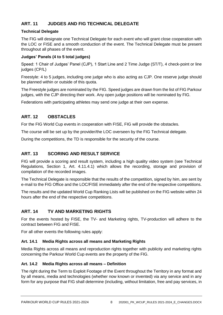# **ART. 11 JUDGES AND FIG TECHNICAL DELEGATE**

## **Technical Delegate**

The FIG will designate one Technical Delegate for each event who will grant close cooperation with the LOC or FISE and a smooth conduction of the event. The Technical Delegate must be present throughout all phases of the event.

### **Judges' Panels (4 to 5 total judges)**

Speed: 1 Chair of Judges' Panel (CJP), 1 Start Line and 2 Time Judge (ST/T), 4 check-point or line judges (CP/L)

Freestyle: 4 to 5 judges, including one judge who is also acting as CJP. One reserve judge should be planned within or outside of this quota.

The Freestyle judges are nominated by the FIG. Speed judges are drawn from the list of FIG Parkour judges, with the CJP directing their work. Any open judge positions will be nominated by FIG.

<span id="page-7-0"></span>Federations with participating athletes may send one judge at their own expense.

# **ART. 12 OBSTACLES**

For the FIG World Cup events in cooperation with FISE, FIG will provide the obstacles.

The course will be set up by the provider/the LOC overseen by the FIG Technical delegate.

<span id="page-7-1"></span>During the competitions, the TD is responsible for the security of the course.

# **ART. 13 SCORING AND RESULT SERVICE**

FIG will provide a scoring and result system, including a high quality video system (see Technical Regulations, Section 1, Art. 4.11.4.1) which allows the recording, storage and provision of compilation of the recorded images.

The Technical Delegate is responsible that the results of the competition, signed by him, are sent by e-mail to the FIG Office and the LOC/FISE immediately after the end of the respective competitions.

The results and the updated World Cup Ranking Lists will be published on the FIG website within 24 hours after the end of the respective competitions.

# <span id="page-7-2"></span>**ART. 14 TV AND MARKETING RIGHTS**

For the events hosted by FISE, the TV- and Marketing rights, TV-production will adhere to the contract between FIG and FISE.

For all other events the following rules apply:

## <span id="page-7-3"></span>**Art. 14.1 Media Rights across all means and Marketing Rights**

Media Rights across all means and reproduction rights together with publicity and marketing rights concerning the Parkour World Cup events are the property of the FIG.

## <span id="page-7-4"></span>**Art. 14.2 Media Rights across all means – Definition**

The right during the Term to Exploit Footage of the Event throughout the Territory in any format and by all means, media and technologies (whether now known or invented) via any service and in any form for any purpose that FIG shall determine (including, without limitation, free and pay services, in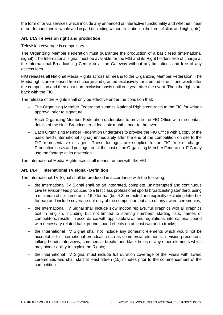the form of or via services which include any enhanced or interactive functionality and whether linear or on-demand and in whole and in part (including without limitation in the form of clips and highlights).

### <span id="page-8-0"></span>**Art. 14.3 Television right and production**

Television coverage is compulsory.

The Organizing Member Federation must guarantee the production of a basic feed (international signal). The International signal must be available for the FIG and its Right holders free of charge at the international Broadcasting Centre or at the Gateway without any limitations and free of any access fees.

FIG releases all National Media Rights across all means to the Organizing Member Federation. The Media rights are released free of charge and granted exclusively for a period of until one week after the competition and then on a non-exclusive basis until one year after the event. Then the rights are back with the FIG.

The release of the Rights shall only be effective under the condition that:

- The Organizing Member Federation submits National Rights contracts to the FIG for written approval prior to signature.
- Each Organizing Member Federation undertakes to provide the FIG Office with the contact details of the Host-Broadcaster at least six months prior to the event.
- Each Organizing Member Federation undertakes to provide the FIG Office with a copy of the basic feed (international signal) immediately after the end of the competition on site to the FIG representative or agent. These footages are supplied to the FIG free of charge. Production costs and postage are at the cost of the Organizing Member Federation. FIG may use the footage at its discretion.

The International Media Rights across all means remain with the FIG.

### <span id="page-8-1"></span>**Art. 14.4 International TV signal- Definition**

The International TV Signal shall be produced in accordance with the following:

- the International TV Signal shall be an integrated, complete, uninterrupted and continuous Live television feed produced to a first class professional sports broadcasting standard, using a minimum of six cameras in 16:9 format (but 4:3 protected and explicitly excluding letterbox format) and include coverage not only of the competition but also of any award ceremonies;
- the International TV Signal shall include slow motion replays, full graphics with all graphics text in English, including but not limited to starting numbers, starting lists, names of competitors, results, in accordance with applicable laws and regulations, international sound with necessary related background sound effects on at least two audio tracks;
- the International TV Signal shall not include any domestic elements which would not be acceptable for international broadcast such as commercial elements, in-vision presenters, talking heads, interviews, commercial breaks and black holes or any other elements which may hinder ability to exploit the Rights;
- the International TV Signal must include full duration coverage of the Finals with award ceremonies and shall start at least fifteen (15) minutes prior to the commencement of the competition.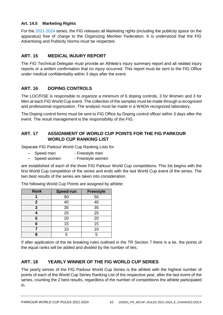### <span id="page-9-0"></span>**Art. 14.5 Marketing Rights**

For the 2021-2024 series, the FIG releases all Marketing rights (including the publicity space on the apparatus) free of charge to the Organizing Member Federation. It is understood that the FIG Advertising and Publicity Norms must be respected.

# <span id="page-9-1"></span>**ART. 15 MEDICAL INJURY REPORT**

The FIG Technical Delegate must provide an Athlete's injury summary report and all related injury reports or a written confirmation that no injury occurred. This report must be sent to the FIG Office under medical confidentiality within 3 days after the event.

# <span id="page-9-2"></span>**ART. 16 DOPING CONTROLS**

The LOC/FISE is responsible to organize a minimum of 6 doping controls, 3 for Women and 3 for Men at each FIG World Cup event. The collection of the samples must be made through a recognized and professional organization. The analysis must be made in a WADA recognized laboratory.

The Doping control forms must be sent to FIG Office by Doping control officer within 3 days after the event. The result management is the responsibility of the FIG.

# <span id="page-9-3"></span>**ART. 17 ASSIGNMENT OF WORLD CUP POINTS FOR THE FIG PARKOUR WORLD CUP RANKING LIST**

Separate FIG Parkour World Cup Ranking Lists for

- Speed men Freestyle men
- Speed women Freestyle women

are established of each of the three FIG Parkour World Cup competitions. This list begins with the first World Cup competition of the series and ends with the last World Cup event of the series. The two best results of the series are taken into consideration.

| <b>Rank</b> | Speed-run | <b>Freestyle</b> |
|-------------|-----------|------------------|
|             | 50        | 50               |
| 2           | 40        | 40               |
| 3           | 35        | 35               |
|             | 25        | 25               |
| 5           | 20        | 20               |
| հ           | 15        | 15               |
|             | 10        | 10               |
| О           |           | 5                |

The following World Cup Points are assigned by athlete:

If after application of the tie breaking rules outlined in the TR Section 7 there is a tie, the points of the equal ranks will be added and divided by the number of ties.

## <span id="page-9-4"></span>**ART. 18 YEARLY WINNER OF THE FIG WORLD CUP SERIES**

The yearly winner of the FIG Parkour World Cup Series is the athlete with the highest number of points of each of the World Cup Series Ranking List of the respective year, after the last event of the series, counting the 2 best results, regardless of the number of competitions the athlete participated in.